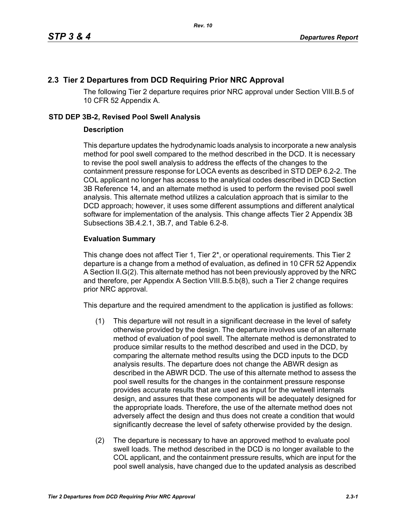## **2.3 Tier 2 Departures from DCD Requiring Prior NRC Approval**

The following Tier 2 departure requires prior NRC approval under Section VIII.B.5 of 10 CFR 52 Appendix A.

## **STD DEP 3B-2, Revised Pool Swell Analysis**

## **Description**

This departure updates the hydrodynamic loads analysis to incorporate a new analysis method for pool swell compared to the method described in the DCD. It is necessary to revise the pool swell analysis to address the effects of the changes to the containment pressure response for LOCA events as described in STD DEP 6.2-2. The COL applicant no longer has access to the analytical codes described in DCD Section 3B Reference 14, and an alternate method is used to perform the revised pool swell analysis. This alternate method utilizes a calculation approach that is similar to the DCD approach; however, it uses some different assumptions and different analytical software for implementation of the analysis. This change affects Tier 2 Appendix 3B Subsections 3B.4.2.1, 3B.7, and Table 6.2-8.

## **Evaluation Summary**

This change does not affect Tier 1, Tier 2\*, or operational requirements. This Tier 2 departure is a change from a method of evaluation, as defined in 10 CFR 52 Appendix A Section II.G(2). This alternate method has not been previously approved by the NRC and therefore, per Appendix A Section VIII.B.5.b(8), such a Tier 2 change requires prior NRC approval.

This departure and the required amendment to the application is justified as follows:

- (1) This departure will not result in a significant decrease in the level of safety otherwise provided by the design. The departure involves use of an alternate method of evaluation of pool swell. The alternate method is demonstrated to produce similar results to the method described and used in the DCD, by comparing the alternate method results using the DCD inputs to the DCD analysis results. The departure does not change the ABWR design as described in the ABWR DCD. The use of this alternate method to assess the pool swell results for the changes in the containment pressure response provides accurate results that are used as input for the wetwell internals design, and assures that these components will be adequately designed for the appropriate loads. Therefore, the use of the alternate method does not adversely affect the design and thus does not create a condition that would significantly decrease the level of safety otherwise provided by the design.
- (2) The departure is necessary to have an approved method to evaluate pool swell loads. The method described in the DCD is no longer available to the COL applicant, and the containment pressure results, which are input for the pool swell analysis, have changed due to the updated analysis as described